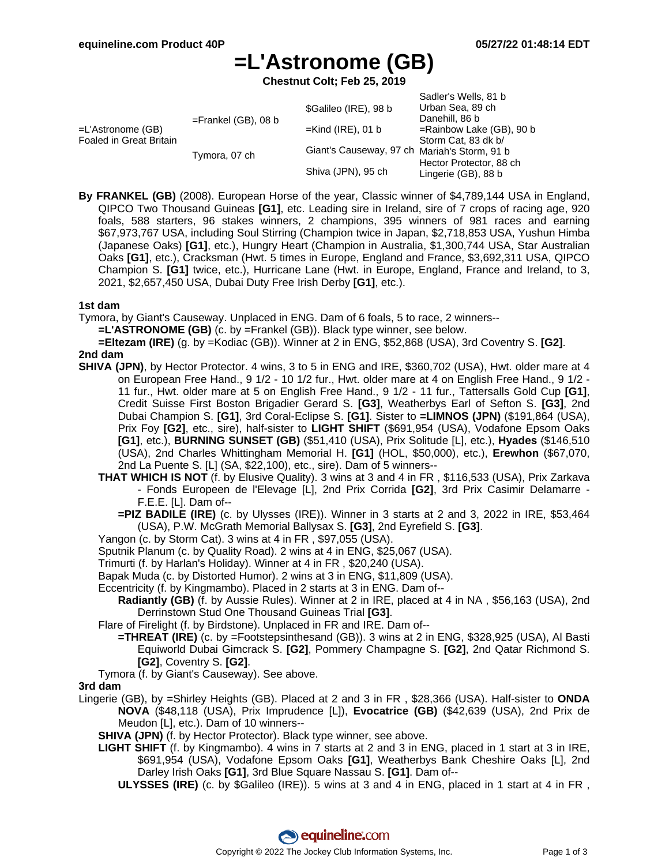Sadler's Wells, 81 b

# **=L'Astronome (GB)**

**Chestnut Colt; Feb 25, 2019**

|                        |                       | <b>Odulet S VVEIIS. OT D</b>                                       |
|------------------------|-----------------------|--------------------------------------------------------------------|
| $=$ Frankel (GB), 08 b | \$Galileo (IRE), 98 b | Urban Sea, 89 ch                                                   |
|                        |                       | Danehill, 86 b                                                     |
|                        | $=$ Kind (IRE), 01 b  | $=$ Rainbow Lake (GB), 90 b                                        |
|                        |                       | Storm Cat, 83 dk b/                                                |
|                        |                       |                                                                    |
|                        |                       | Hector Protector, 88 ch                                            |
|                        |                       | Lingerie (GB), 88 b                                                |
|                        | Tymora, 07 ch         | Giant's Causeway, 97 ch Mariah's Storm, 91 b<br>Shiva (JPN), 95 ch |

**By FRANKEL (GB)** (2008). European Horse of the year, Classic winner of \$4,789,144 USA in England, QIPCO Two Thousand Guineas **[G1]**, etc. Leading sire in Ireland, sire of 7 crops of racing age, 920 foals, 588 starters, 96 stakes winners, 2 champions, 395 winners of 981 races and earning \$67,973,767 USA, including Soul Stirring (Champion twice in Japan, \$2,718,853 USA, Yushun Himba (Japanese Oaks) **[G1]**, etc.), Hungry Heart (Champion in Australia, \$1,300,744 USA, Star Australian Oaks **[G1]**, etc.), Cracksman (Hwt. 5 times in Europe, England and France, \$3,692,311 USA, QIPCO Champion S. **[G1]** twice, etc.), Hurricane Lane (Hwt. in Europe, England, France and Ireland, to 3, 2021, \$2,657,450 USA, Dubai Duty Free Irish Derby **[G1]**, etc.).

#### **1st dam**

Tymora, by Giant's Causeway. Unplaced in ENG. Dam of 6 foals, 5 to race, 2 winners--

**=L'ASTRONOME (GB)** (c. by =Frankel (GB)). Black type winner, see below.

**=Eltezam (IRE)** (g. by =Kodiac (GB)). Winner at 2 in ENG, \$52,868 (USA), 3rd Coventry S. **[G2]**. **2nd dam**

- **SHIVA (JPN)**, by Hector Protector. 4 wins, 3 to 5 in ENG and IRE, \$360,702 (USA), Hwt. older mare at 4 on European Free Hand., 9 1/2 - 10 1/2 fur., Hwt. older mare at 4 on English Free Hand., 9 1/2 - 11 fur., Hwt. older mare at 5 on English Free Hand., 9 1/2 - 11 fur., Tattersalls Gold Cup **[G1]**, Credit Suisse First Boston Brigadier Gerard S. **[G3]**, Weatherbys Earl of Sefton S. **[G3]**, 2nd Dubai Champion S. **[G1]**, 3rd Coral-Eclipse S. **[G1]**. Sister to **=LIMNOS (JPN)** (\$191,864 (USA), Prix Foy **[G2]**, etc., sire), half-sister to **LIGHT SHIFT** (\$691,954 (USA), Vodafone Epsom Oaks **[G1]**, etc.), **BURNING SUNSET (GB)** (\$51,410 (USA), Prix Solitude [L], etc.), **Hyades** (\$146,510 (USA), 2nd Charles Whittingham Memorial H. **[G1]** (HOL, \$50,000), etc.), **Erewhon** (\$67,070, 2nd La Puente S. [L] (SA, \$22,100), etc., sire). Dam of 5 winners--
	- **THAT WHICH IS NOT** (f. by Elusive Quality). 3 wins at 3 and 4 in FR , \$116,533 (USA), Prix Zarkava - Fonds Europeen de l'Elevage [L], 2nd Prix Corrida **[G2]**, 3rd Prix Casimir Delamarre - F.E.E. [L]. Dam of--
		- **=PIZ BADILE (IRE)** (c. by Ulysses (IRE)). Winner in 3 starts at 2 and 3, 2022 in IRE, \$53,464 (USA), P.W. McGrath Memorial Ballysax S. **[G3]**, 2nd Eyrefield S. **[G3]**.
	- Yangon (c. by Storm Cat). 3 wins at 4 in FR , \$97,055 (USA).

Sputnik Planum (c. by Quality Road). 2 wins at 4 in ENG, \$25,067 (USA).

Trimurti (f. by Harlan's Holiday). Winner at 4 in FR , \$20,240 (USA).

Bapak Muda (c. by Distorted Humor). 2 wins at 3 in ENG, \$11,809 (USA).

Eccentricity (f. by Kingmambo). Placed in 2 starts at 3 in ENG. Dam of--

**Radiantly (GB)** (f. by Aussie Rules). Winner at 2 in IRE, placed at 4 in NA , \$56,163 (USA), 2nd Derrinstown Stud One Thousand Guineas Trial **[G3]**.

Flare of Firelight (f. by Birdstone). Unplaced in FR and IRE. Dam of--

- **=THREAT (IRE)** (c. by =Footstepsinthesand (GB)). 3 wins at 2 in ENG, \$328,925 (USA), Al Basti Equiworld Dubai Gimcrack S. **[G2]**, Pommery Champagne S. **[G2]**, 2nd Qatar Richmond S. **[G2]**, Coventry S. **[G2]**.
- Tymora (f. by Giant's Causeway). See above.

#### **3rd dam**

- Lingerie (GB), by =Shirley Heights (GB). Placed at 2 and 3 in FR , \$28,366 (USA). Half-sister to **ONDA NOVA** (\$48,118 (USA), Prix Imprudence [L]), **Evocatrice (GB)** (\$42,639 (USA), 2nd Prix de Meudon [L], etc.). Dam of 10 winners--
	- **SHIVA (JPN)** (f. by Hector Protector). Black type winner, see above.
	- **LIGHT SHIFT** (f. by Kingmambo). 4 wins in 7 starts at 2 and 3 in ENG, placed in 1 start at 3 in IRE, \$691,954 (USA), Vodafone Epsom Oaks **[G1]**, Weatherbys Bank Cheshire Oaks [L], 2nd Darley Irish Oaks **[G1]**, 3rd Blue Square Nassau S. **[G1]**. Dam of--
		- **ULYSSES (IRE)** (c. by \$Galileo (IRE)). 5 wins at 3 and 4 in ENG, placed in 1 start at 4 in FR ,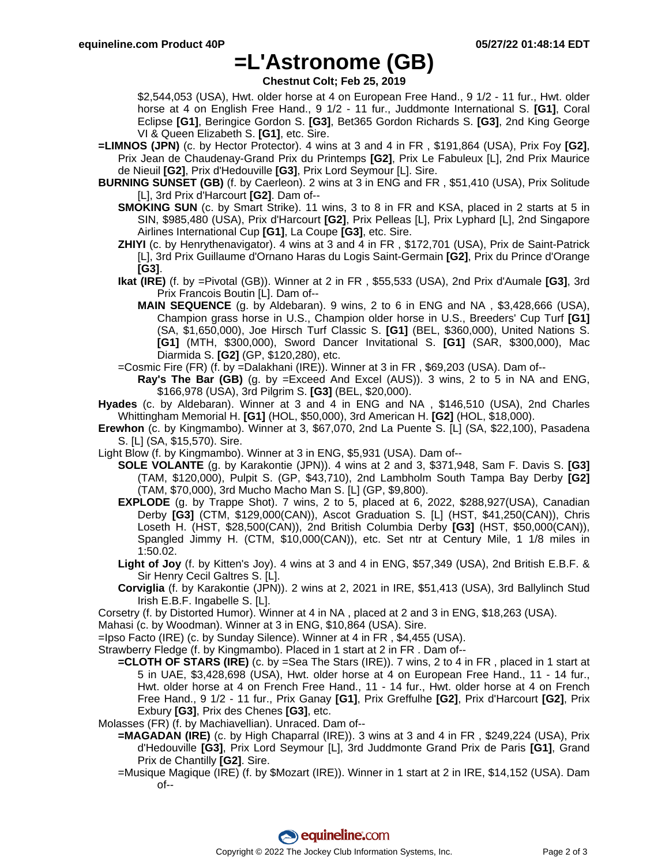### **=L'Astronome (GB)**

**Chestnut Colt; Feb 25, 2019**

\$2,544,053 (USA), Hwt. older horse at 4 on European Free Hand., 9 1/2 - 11 fur., Hwt. older horse at 4 on English Free Hand., 9 1/2 - 11 fur., Juddmonte International S. **[G1]**, Coral Eclipse **[G1]**, Beringice Gordon S. **[G3]**, Bet365 Gordon Richards S. **[G3]**, 2nd King George VI & Queen Elizabeth S. **[G1]**, etc. Sire.

- **=LIMNOS (JPN)** (c. by Hector Protector). 4 wins at 3 and 4 in FR , \$191,864 (USA), Prix Foy **[G2]**, Prix Jean de Chaudenay-Grand Prix du Printemps **[G2]**, Prix Le Fabuleux [L], 2nd Prix Maurice de Nieuil **[G2]**, Prix d'Hedouville **[G3]**, Prix Lord Seymour [L]. Sire.
- **BURNING SUNSET (GB)** (f. by Caerleon). 2 wins at 3 in ENG and FR , \$51,410 (USA), Prix Solitude [L], 3rd Prix d'Harcourt **[G2]**. Dam of--
	- **SMOKING SUN** (c. by Smart Strike). 11 wins, 3 to 8 in FR and KSA, placed in 2 starts at 5 in SIN, \$985,480 (USA), Prix d'Harcourt **[G2]**, Prix Pelleas [L], Prix Lyphard [L], 2nd Singapore Airlines International Cup **[G1]**, La Coupe **[G3]**, etc. Sire.
	- **ZHIYI** (c. by Henrythenavigator). 4 wins at 3 and 4 in FR , \$172,701 (USA), Prix de Saint-Patrick [L], 3rd Prix Guillaume d'Ornano Haras du Logis Saint-Germain **[G2]**, Prix du Prince d'Orange **[G3]**.
	- **Ikat (IRE)** (f. by =Pivotal (GB)). Winner at 2 in FR , \$55,533 (USA), 2nd Prix d'Aumale **[G3]**, 3rd Prix Francois Boutin [L]. Dam of--
		- **MAIN SEQUENCE** (g. by Aldebaran). 9 wins, 2 to 6 in ENG and NA , \$3,428,666 (USA), Champion grass horse in U.S., Champion older horse in U.S., Breeders' Cup Turf **[G1]** (SA, \$1,650,000), Joe Hirsch Turf Classic S. **[G1]** (BEL, \$360,000), United Nations S. **[G1]** (MTH, \$300,000), Sword Dancer Invitational S. **[G1]** (SAR, \$300,000), Mac Diarmida S. **[G2]** (GP, \$120,280), etc.
	- =Cosmic Fire (FR) (f. by =Dalakhani (IRE)). Winner at 3 in FR , \$69,203 (USA). Dam of--

**Ray's The Bar (GB)** (g. by =Exceed And Excel (AUS)). 3 wins, 2 to 5 in NA and ENG, \$166,978 (USA), 3rd Pilgrim S. **[G3]** (BEL, \$20,000).

- **Hyades** (c. by Aldebaran). Winner at 3 and 4 in ENG and NA , \$146,510 (USA), 2nd Charles Whittingham Memorial H. **[G1]** (HOL, \$50,000), 3rd American H. **[G2]** (HOL, \$18,000).
- **Erewhon** (c. by Kingmambo). Winner at 3, \$67,070, 2nd La Puente S. [L] (SA, \$22,100), Pasadena S. [L] (SA, \$15,570). Sire.
- Light Blow (f. by Kingmambo). Winner at 3 in ENG, \$5,931 (USA). Dam of--
	- **SOLE VOLANTE** (g. by Karakontie (JPN)). 4 wins at 2 and 3, \$371,948, Sam F. Davis S. **[G3]** (TAM, \$120,000), Pulpit S. (GP, \$43,710), 2nd Lambholm South Tampa Bay Derby **[G2]** (TAM, \$70,000), 3rd Mucho Macho Man S. [L] (GP, \$9,800).
	- **EXPLODE** (g. by Trappe Shot). 7 wins, 2 to 5, placed at 6, 2022, \$288,927(USA), Canadian Derby **[G3]** (CTM, \$129,000(CAN)), Ascot Graduation S. [L] (HST, \$41,250(CAN)), Chris Loseth H. (HST, \$28,500(CAN)), 2nd British Columbia Derby **[G3]** (HST, \$50,000(CAN)), Spangled Jimmy H. (CTM, \$10,000(CAN)), etc. Set ntr at Century Mile, 1 1/8 miles in 1:50.02.
	- **Light of Joy** (f. by Kitten's Joy). 4 wins at 3 and 4 in ENG, \$57,349 (USA), 2nd British E.B.F. & Sir Henry Cecil Galtres S. [L].
	- **Corviglia** (f. by Karakontie (JPN)). 2 wins at 2, 2021 in IRE, \$51,413 (USA), 3rd Ballylinch Stud Irish E.B.F. Ingabelle S. [L].

Corsetry (f. by Distorted Humor). Winner at 4 in NA , placed at 2 and 3 in ENG, \$18,263 (USA).

Mahasi (c. by Woodman). Winner at 3 in ENG, \$10,864 (USA). Sire.

=Ipso Facto (IRE) (c. by Sunday Silence). Winner at 4 in FR , \$4,455 (USA).

Strawberry Fledge (f. by Kingmambo). Placed in 1 start at 2 in FR . Dam of--

**=CLOTH OF STARS (IRE)** (c. by =Sea The Stars (IRE)). 7 wins, 2 to 4 in FR , placed in 1 start at 5 in UAE, \$3,428,698 (USA), Hwt. older horse at 4 on European Free Hand., 11 - 14 fur., Hwt. older horse at 4 on French Free Hand., 11 - 14 fur., Hwt. older horse at 4 on French Free Hand., 9 1/2 - 11 fur., Prix Ganay **[G1]**, Prix Greffulhe **[G2]**, Prix d'Harcourt **[G2]**, Prix Exbury **[G3]**, Prix des Chenes **[G3]**, etc.

Molasses (FR) (f. by Machiavellian). Unraced. Dam of--

- **=MAGADAN (IRE)** (c. by High Chaparral (IRE)). 3 wins at 3 and 4 in FR , \$249,224 (USA), Prix d'Hedouville **[G3]**, Prix Lord Seymour [L], 3rd Juddmonte Grand Prix de Paris **[G1]**, Grand Prix de Chantilly **[G2]**. Sire.
- =Musique Magique (IRE) (f. by \$Mozart (IRE)). Winner in 1 start at 2 in IRE, \$14,152 (USA). Dam of--